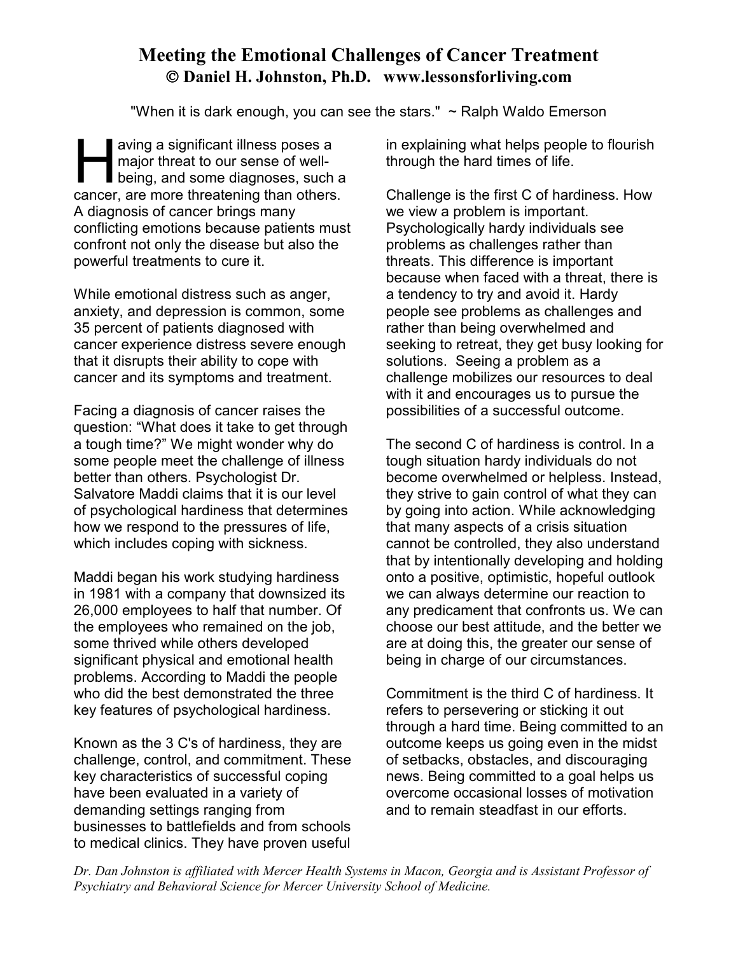## **Meeting the Emotional Challenges of Cancer Treatment Daniel H. Johnston, Ph.D. www.lessonsforliving.com**

"When it is dark enough, you can see the stars."  $\sim$  Ralph Waldo Emerson

aving a significant illness poses a major threat to our sense of wellbeing, and some diagnoses, such a aving a significant illness poses a<br>major threat to our sense of well-<br>being, and some diagnoses, such a<br>cancer, are more threatening than others. A diagnosis of cancer brings many conflicting emotions because patients must confront not only the disease but also the powerful treatments to cure it.

While emotional distress such as anger, anxiety, and depression is common, some 35 percent of patients diagnosed with cancer experience distress severe enough that it disrupts their ability to cope with cancer and its symptoms and treatment.

Facing a diagnosis of cancer raises the question: "What does it take to get through a tough time?" We might wonder why do some people meet the challenge of illness better than others. Psychologist Dr. Salvatore Maddi claims that it is our level of psychological hardiness that determines how we respond to the pressures of life, which includes coping with sickness.

Maddi began his work studying hardiness in 1981 with a company that downsized its 26,000 employees to half that number. Of the employees who remained on the job, some thrived while others developed significant physical and emotional health problems. According to Maddi the people who did the best demonstrated the three key features of psychological hardiness.

Known as the 3 C's of hardiness, they are challenge, control, and commitment. These key characteristics of successful coping have been evaluated in a variety of demanding settings ranging from businesses to battlefields and from schools to medical clinics. They have proven useful in explaining what helps people to flourish through the hard times of life.

Challenge is the first C of hardiness. How we view a problem is important. Psychologically hardy individuals see problems as challenges rather than threats. This difference is important because when faced with a threat, there is a tendency to try and avoid it. Hardy people see problems as challenges and rather than being overwhelmed and seeking to retreat, they get busy looking for solutions. Seeing a problem as a challenge mobilizes our resources to deal with it and encourages us to pursue the possibilities of a successful outcome.

The second C of hardiness is control. In a tough situation hardy individuals do not become overwhelmed or helpless. Instead, they strive to gain control of what they can by going into action. While acknowledging that many aspects of a crisis situation cannot be controlled, they also understand that by intentionally developing and holding onto a positive, optimistic, hopeful outlook we can always determine our reaction to any predicament that confronts us. We can choose our best attitude, and the better we are at doing this, the greater our sense of being in charge of our circumstances.

Commitment is the third C of hardiness. It refers to persevering or sticking it out through a hard time. Being committed to an outcome keeps us going even in the midst of setbacks, obstacles, and discouraging news. Being committed to a goal helps us overcome occasional losses of motivation and to remain steadfast in our efforts.

*Dr. Dan Johnston is affiliated with Mercer Health Systems in Macon, Georgia and is Assistant Professor of Psychiatry and Behavioral Science for Mercer University School of Medicine.*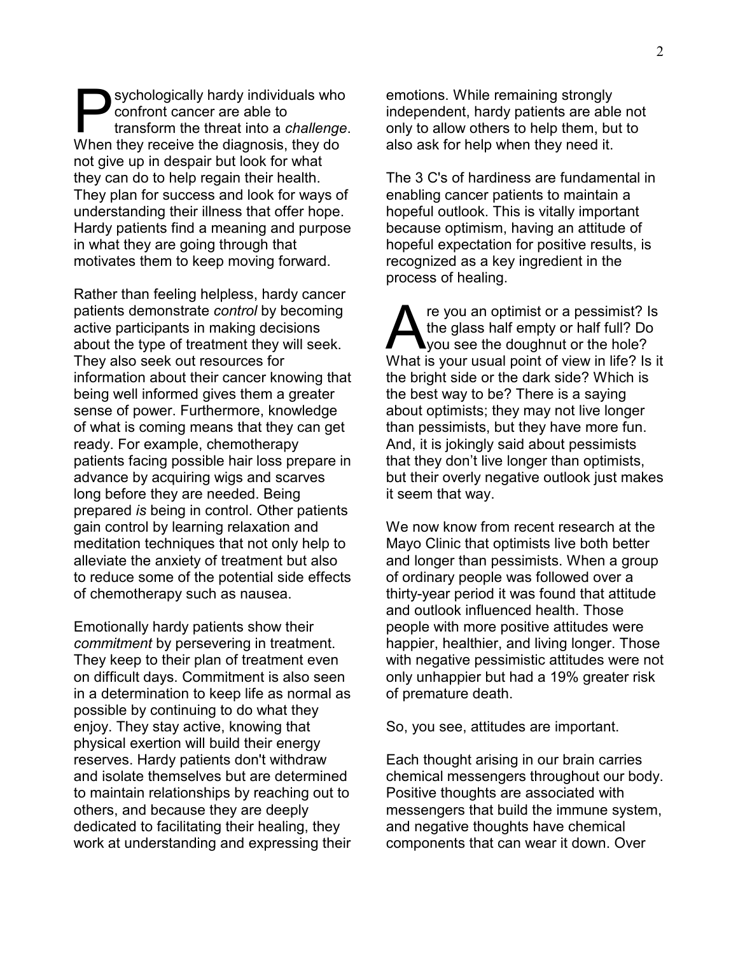sychologically hardy individuals who confront cancer are able to transform the threat into a *challenge*. Sychologically hardy individuals who<br>confront cancer are able to<br>transform the threat into a *challenge*<br>When they receive the diagnosis, they do not give up in despair but look for what they can do to help regain their health. They plan for success and look for ways of understanding their illness that offer hope. Hardy patients find a meaning and purpose in what they are going through that motivates them to keep moving forward.

Rather than feeling helpless, hardy cancer patients demonstrate *control* by becoming active participants in making decisions about the type of treatment they will seek. They also seek out resources for information about their cancer knowing that being well informed gives them a greater sense of power. Furthermore, knowledge of what is coming means that they can get ready. For example, chemotherapy patients facing possible hair loss prepare in advance by acquiring wigs and scarves long before they are needed. Being prepared *is* being in control. Other patients gain control by learning relaxation and meditation techniques that not only help to alleviate the anxiety of treatment but also to reduce some of the potential side effects of chemotherapy such as nausea.

Emotionally hardy patients show their *commitment* by persevering in treatment. They keep to their plan of treatment even on difficult days. Commitment is also seen in a determination to keep life as normal as possible by continuing to do what they enjoy. They stay active, knowing that physical exertion will build their energy reserves. Hardy patients don't withdraw and isolate themselves but are determined to maintain relationships by reaching out to others, and because they are deeply dedicated to facilitating their healing, they work at understanding and expressing their

emotions. While remaining strongly independent, hardy patients are able not only to allow others to help them, but to also ask for help when they need it.

The 3 C's of hardiness are fundamental in enabling cancer patients to maintain a hopeful outlook. This is vitally important because optimism, having an attitude of hopeful expectation for positive results, is recognized as a key ingredient in the process of healing.

re you an optimist or a pessimist? Is the glass half empty or half full? Do you see the doughnut or the hole? The you an optimist or a pessimist? Is<br>the glass half empty or half full? Do<br>What is your usual point of view in life? Is it the bright side or the dark side? Which is the best way to be? There is a saying about optimists; they may not live longer than pessimists, but they have more fun. And, it is jokingly said about pessimists that they don't live longer than optimists, but their overly negative outlook just makes it seem that way.

We now know from recent research at the Mayo Clinic that optimists live both better and longer than pessimists. When a group of ordinary people was followed over a thirty-year period it was found that attitude and outlook influenced health. Those people with more positive attitudes were happier, healthier, and living longer. Those with negative pessimistic attitudes were not only unhappier but had a 19% greater risk of premature death.

So, you see, attitudes are important.

Each thought arising in our brain carries chemical messengers throughout our body. Positive thoughts are associated with messengers that build the immune system, and negative thoughts have chemical components that can wear it down. Over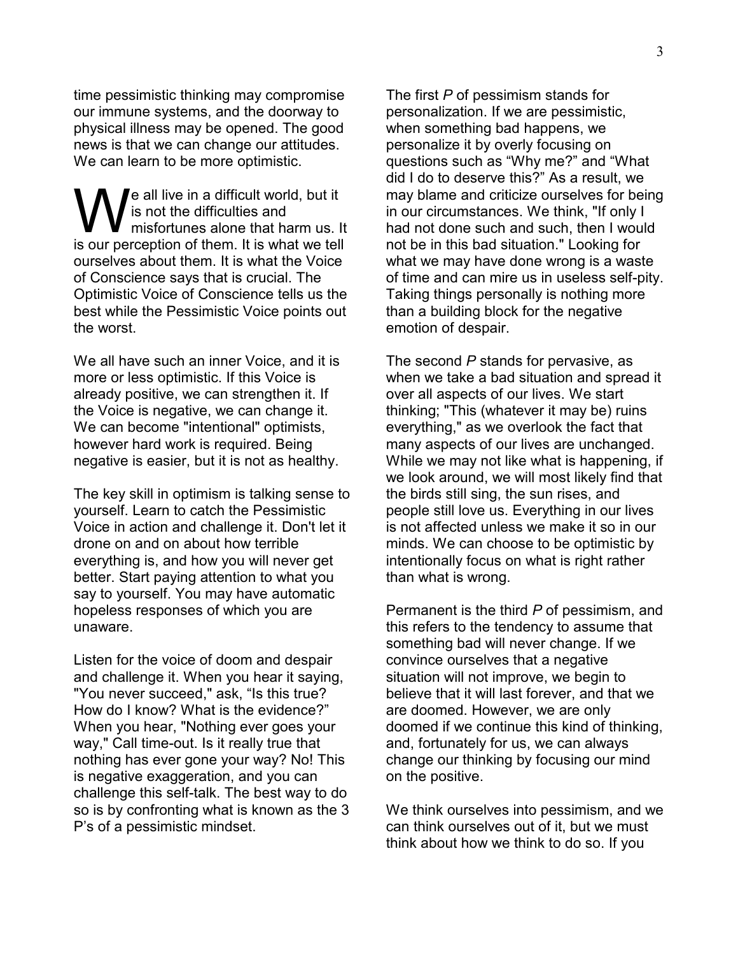time pessimistic thinking may compromise our immune systems, and the doorway to physical illness may be opened. The good news is that we can change our attitudes. We can learn to be more optimistic.

le all live in a difficult world, but it is not the difficulties and misfortunes alone that harm us. It **is not the difficult world, but it** is not the difficulties and misfortunes alone that harm us. It is our perception of them. It is what we tell ourselves about them. It is what the Voice of Conscience says that is crucial. The Optimistic Voice of Conscience tells us the best while the Pessimistic Voice points out the worst.

We all have such an inner Voice, and it is more or less optimistic. If this Voice is already positive, we can strengthen it. If the Voice is negative, we can change it. We can become "intentional" optimists, however hard work is required. Being negative is easier, but it is not as healthy.

The key skill in optimism is talking sense to yourself. Learn to catch the Pessimistic Voice in action and challenge it. Don't let it drone on and on about how terrible everything is, and how you will never get better. Start paying attention to what you say to yourself. You may have automatic hopeless responses of which you are unaware.

Listen for the voice of doom and despair and challenge it. When you hear it saying, "You never succeed," ask, "Is this true? How do I know? What is the evidence?" When you hear, "Nothing ever goes your way," Call time-out. Is it really true that nothing has ever gone your way? No! This is negative exaggeration, and you can challenge this self-talk. The best way to do so is by confronting what is known as the 3 P's of a pessimistic mindset.

The first *P* of pessimism stands for personalization. If we are pessimistic, when something bad happens, we personalize it by overly focusing on questions such as "Why me?" and "What did I do to deserve this?" As a result, we may blame and criticize ourselves for being in our circumstances. We think, "If only I had not done such and such, then I would not be in this bad situation." Looking for what we may have done wrong is a waste of time and can mire us in useless self-pity. Taking things personally is nothing more than a building block for the negative emotion of despair.

The second *P* stands for pervasive, as when we take a bad situation and spread it over all aspects of our lives. We start thinking; "This (whatever it may be) ruins everything," as we overlook the fact that many aspects of our lives are unchanged. While we may not like what is happening, if we look around, we will most likely find that the birds still sing, the sun rises, and people still love us. Everything in our lives is not affected unless we make it so in our minds. We can choose to be optimistic by intentionally focus on what is right rather than what is wrong.

Permanent is the third *P* of pessimism, and this refers to the tendency to assume that something bad will never change. If we convince ourselves that a negative situation will not improve, we begin to believe that it will last forever, and that we are doomed. However, we are only doomed if we continue this kind of thinking, and, fortunately for us, we can always change our thinking by focusing our mind on the positive.

We think ourselves into pessimism, and we can think ourselves out of it, but we must think about how we think to do so. If you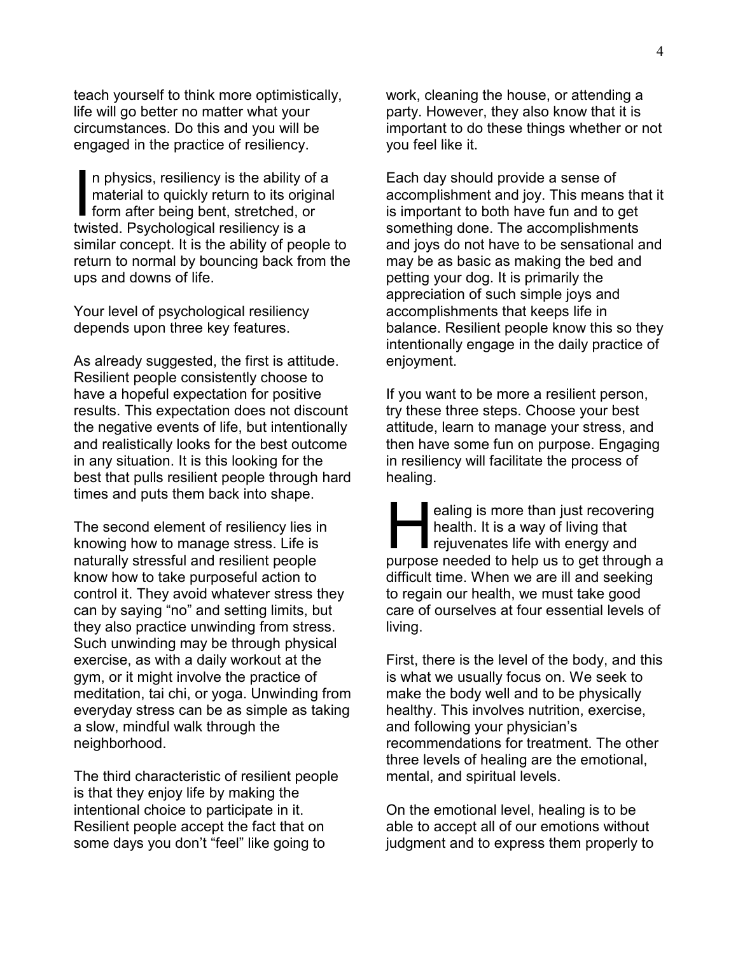teach yourself to think more optimistically, life will go better no matter what your circumstances. Do this and you will be engaged in the practice of resiliency.

n physics, resiliency is the ability of a material to quickly return to its original In physics, resiliency is the ability of<br>
material to quickly return to its origin<br>
form after being bent, stretched, or<br>
twisted, Beychological resiliency is a twisted. Psychological resiliency is a similar concept. It is the ability of people to return to normal by bouncing back from the ups and downs of life.

Your level of psychological resiliency depends upon three key features.

As already suggested, the first is attitude. Resilient people consistently choose to have a hopeful expectation for positive results. This expectation does not discount the negative events of life, but intentionally and realistically looks for the best outcome in any situation. It is this looking for the best that pulls resilient people through hard times and puts them back into shape.

The second element of resiliency lies in knowing how to manage stress. Life is naturally stressful and resilient people know how to take purposeful action to control it. They avoid whatever stress they can by saying "no" and setting limits, but they also practice unwinding from stress. Such unwinding may be through physical exercise, as with a daily workout at the gym, or it might involve the practice of meditation, tai chi, or yoga. Unwinding from everyday stress can be as simple as taking a slow, mindful walk through the neighborhood.

The third characteristic of resilient people is that they enjoy life by making the intentional choice to participate in it. Resilient people accept the fact that on some days you don't "feel" like going to

work, cleaning the house, or attending a party. However, they also know that it is important to do these things whether or not you feel like it.

Each day should provide a sense of accomplishment and joy. This means that it is important to both have fun and to get something done. The accomplishments and joys do not have to be sensational and may be as basic as making the bed and petting your dog. It is primarily the appreciation of such simple joys and accomplishments that keeps life in balance. Resilient people know this so they intentionally engage in the daily practice of enjoyment.

If you want to be more a resilient person, try these three steps. Choose your best attitude, learn to manage your stress, and then have some fun on purpose. Engaging in resiliency will facilitate the process of healing.

ealing is more than just recovering health. It is a way of living that rejuvenates life with energy and ealing is more than just recovering<br>health. It is a way of living that<br>rejuvenates life with energy and<br>purpose needed to help us to get through a difficult time. When we are ill and seeking to regain our health, we must take good care of ourselves at four essential levels of living.

First, there is the level of the body, and this is what we usually focus on. We seek to make the body well and to be physically healthy. This involves nutrition, exercise, and following your physician's recommendations for treatment. The other three levels of healing are the emotional, mental, and spiritual levels.

On the emotional level, healing is to be able to accept all of our emotions without judgment and to express them properly to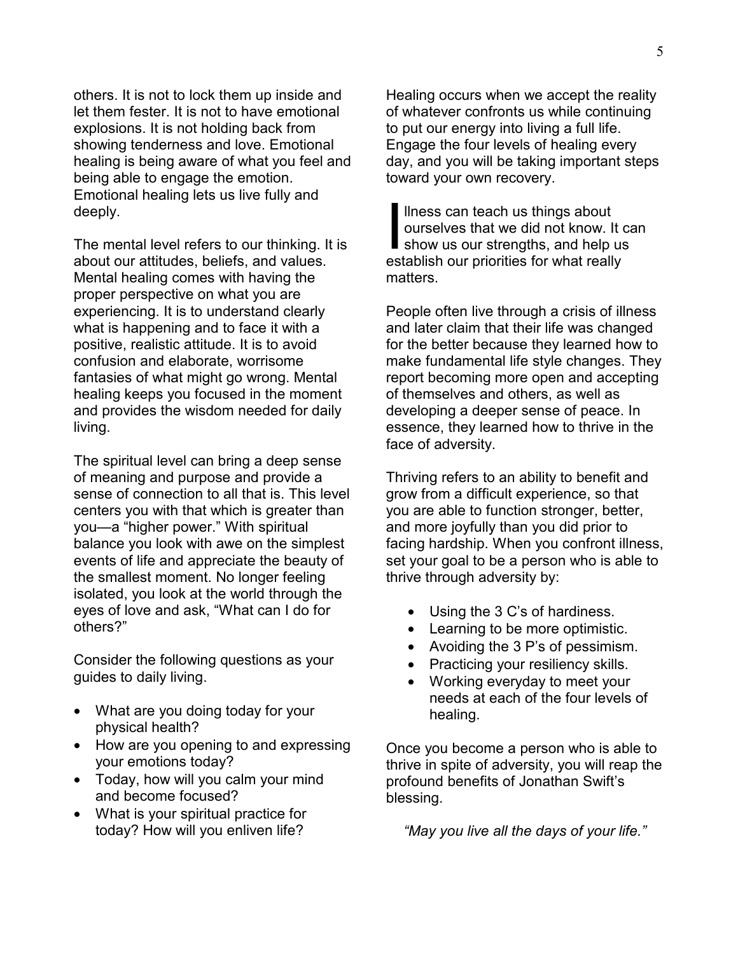others. It is not to lock them up inside and let them fester. It is not to have emotional explosions. It is not holding back from showing tenderness and love. Emotional healing is being aware of what you feel and being able to engage the emotion. Emotional healing lets us live fully and deeply.

The mental level refers to our thinking. It is about our attitudes, beliefs, and values. Mental healing comes with having the proper perspective on what you are experiencing. It is to understand clearly what is happening and to face it with a positive, realistic attitude. It is to avoid confusion and elaborate, worrisome fantasies of what might go wrong. Mental healing keeps you focused in the moment and provides the wisdom needed for daily living.

The spiritual level can bring a deep sense of meaning and purpose and provide a sense of connection to all that is. This level centers you with that which is greater than you—a "higher power." With spiritual balance you look with awe on the simplest events of life and appreciate the beauty of the smallest moment. No longer feeling isolated, you look at the world through the eyes of love and ask, "What can I do for others?"

Consider the following questions as your guides to daily living.

- What are you doing today for your physical health?
- How are you opening to and expressing your emotions today?
- Today, how will you calm your mind and become focused?
- What is your spiritual practice for today? How will you enliven life?

Healing occurs when we accept the reality of whatever confronts us while continuing to put our energy into living a full life. Engage the four levels of healing every day, and you will be taking important steps toward your own recovery.

llness can teach us things about ourselves that we did not know. It can llness can teach us things about<br>ourselves that we did not know. It can<br>show us our strengths, and help us<br>establish our priorities for what really establish our priorities for what really matters.

People often live through a crisis of illness and later claim that their life was changed for the better because they learned how to make fundamental life style changes. They report becoming more open and accepting of themselves and others, as well as developing a deeper sense of peace. In essence, they learned how to thrive in the face of adversity.

Thriving refers to an ability to benefit and grow from a difficult experience, so that you are able to function stronger, better, and more joyfully than you did prior to facing hardship. When you confront illness, set your goal to be a person who is able to thrive through adversity by:

- Using the 3 C's of hardiness.
- Learning to be more optimistic.
- Avoiding the 3 P's of pessimism.
- Practicing your resiliency skills.
- Working everyday to meet your needs at each of the four levels of healing.

Once you become a person who is able to thrive in spite of adversity, you will reap the profound benefits of Jonathan Swift's blessing.

*"May you live all the days of your life."*